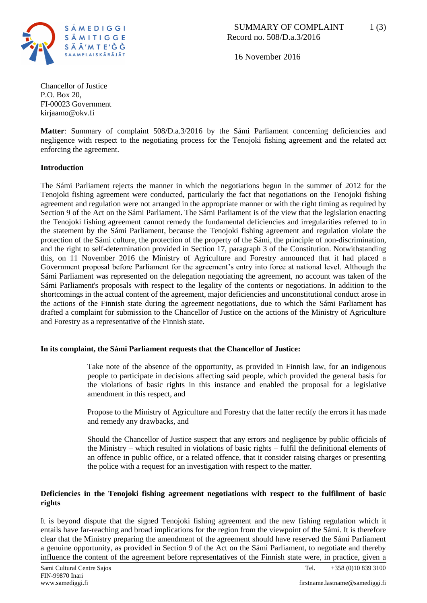

16 November 2016

Chancellor of Justice P.O. Box 20, FI-00023 Government kirjaamo@okv.fi

**Matter**: Summary of complaint 508/D.a.3/2016 by the Sámi Parliament concerning deficiencies and negligence with respect to the negotiating process for the Tenojoki fishing agreement and the related act enforcing the agreement.

# **Introduction**

The Sámi Parliament rejects the manner in which the negotiations begun in the summer of 2012 for the Tenojoki fishing agreement were conducted, particularly the fact that negotiations on the Tenojoki fishing agreement and regulation were not arranged in the appropriate manner or with the right timing as required by Section 9 of the Act on the Sámi Parliament. The Sámi Parliament is of the view that the legislation enacting the Tenojoki fishing agreement cannot remedy the fundamental deficiencies and irregularities referred to in the statement by the Sámi Parliament, because the Tenojoki fishing agreement and regulation violate the protection of the Sámi culture, the protection of the property of the Sámi, the principle of non-discrimination, and the right to self-determination provided in Section 17, paragraph 3 of the Constitution. Notwithstanding this, on 11 November 2016 the Ministry of Agriculture and Forestry announced that it had placed a Government proposal before Parliament for the agreement's entry into force at national level. Although the Sámi Parliament was represented on the delegation negotiating the agreement, no account was taken of the Sámi Parliament's proposals with respect to the legality of the contents or negotiations. In addition to the shortcomings in the actual content of the agreement, major deficiencies and unconstitutional conduct arose in the actions of the Finnish state during the agreement negotiations, due to which the Sámi Parliament has drafted a complaint for submission to the Chancellor of Justice on the actions of the Ministry of Agriculture and Forestry as a representative of the Finnish state.

#### **In its complaint, the Sámi Parliament requests that the Chancellor of Justice:**

Take note of the absence of the opportunity, as provided in Finnish law, for an indigenous people to participate in decisions affecting said people, which provided the general basis for the violations of basic rights in this instance and enabled the proposal for a legislative amendment in this respect, and

Propose to the Ministry of Agriculture and Forestry that the latter rectify the errors it has made and remedy any drawbacks, and

Should the Chancellor of Justice suspect that any errors and negligence by public officials of the Ministry – which resulted in violations of basic rights – fulfil the definitional elements of an offence in public office, or a related offence, that it consider raising charges or presenting the police with a request for an investigation with respect to the matter.

# **Deficiencies in the Tenojoki fishing agreement negotiations with respect to the fulfilment of basic rights**

It is beyond dispute that the signed Tenojoki fishing agreement and the new fishing regulation which it entails have far-reaching and broad implications for the region from the viewpoint of the Sámi. It is therefore clear that the Ministry preparing the amendment of the agreement should have reserved the Sámi Parliament a genuine opportunity, as provided in Section 9 of the Act on the Sámi Parliament, to negotiate and thereby influence the content of the agreement before representatives of the Finnish state were, in practice, given a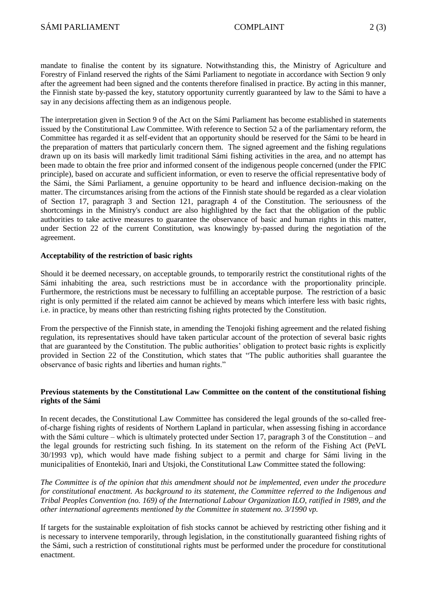mandate to finalise the content by its signature. Notwithstanding this, the Ministry of Agriculture and Forestry of Finland reserved the rights of the Sámi Parliament to negotiate in accordance with Section 9 only after the agreement had been signed and the contents therefore finalised in practice. By acting in this manner, the Finnish state by-passed the key, statutory opportunity currently guaranteed by law to the Sámi to have a say in any decisions affecting them as an indigenous people.

The interpretation given in Section 9 of the Act on the Sámi Parliament has become established in statements issued by the Constitutional Law Committee. With reference to Section 52 a of the parliamentary reform, the Committee has regarded it as self-evident that an opportunity should be reserved for the Sámi to be heard in the preparation of matters that particularly concern them. The signed agreement and the fishing regulations drawn up on its basis will markedly limit traditional Sámi fishing activities in the area, and no attempt has been made to obtain the free prior and informed consent of the indigenous people concerned (under the FPIC principle), based on accurate and sufficient information, or even to reserve the official representative body of the Sámi, the Sámi Parliament, a genuine opportunity to be heard and influence decision-making on the matter. The circumstances arising from the actions of the Finnish state should be regarded as a clear violation of Section 17, paragraph 3 and Section 121, paragraph 4 of the Constitution. The seriousness of the shortcomings in the Ministry's conduct are also highlighted by the fact that the obligation of the public authorities to take active measures to guarantee the observance of basic and human rights in this matter, under Section 22 of the current Constitution, was knowingly by-passed during the negotiation of the agreement.

## **Acceptability of the restriction of basic rights**

Should it be deemed necessary, on acceptable grounds, to temporarily restrict the constitutional rights of the Sámi inhabiting the area, such restrictions must be in accordance with the proportionality principle. Furthermore, the restrictions must be necessary to fulfilling an acceptable purpose. The restriction of a basic right is only permitted if the related aim cannot be achieved by means which interfere less with basic rights, i.e. in practice, by means other than restricting fishing rights protected by the Constitution.

From the perspective of the Finnish state, in amending the Tenojoki fishing agreement and the related fishing regulation, its representatives should have taken particular account of the protection of several basic rights that are guaranteed by the Constitution. The public authorities' obligation to protect basic rights is explicitly provided in Section 22 of the Constitution, which states that "The public authorities shall guarantee the observance of basic rights and liberties and human rights."

## **Previous statements by the Constitutional Law Committee on the content of the constitutional fishing rights of the Sámi**

In recent decades, the Constitutional Law Committee has considered the legal grounds of the so-called freeof-charge fishing rights of residents of Northern Lapland in particular, when assessing fishing in accordance with the Sámi culture – which is ultimately protected under Section 17, paragraph 3 of the Constitution – and the legal grounds for restricting such fishing. In its statement on the reform of the Fishing Act (PeVL 30/1993 vp), which would have made fishing subject to a permit and charge for Sámi living in the municipalities of Enontekiö, Inari and Utsjoki, the Constitutional Law Committee stated the following:

*The Committee is of the opinion that this amendment should not be implemented, even under the procedure for constitutional enactment. As background to its statement, the Committee referred to the Indigenous and Tribal Peoples Convention (no. 169) of the International Labour Organization ILO, ratified in 1989, and the other international agreements mentioned by the Committee in statement no. 3/1990 vp.* 

If targets for the sustainable exploitation of fish stocks cannot be achieved by restricting other fishing and it is necessary to intervene temporarily, through legislation, in the constitutionally guaranteed fishing rights of the Sámi, such a restriction of constitutional rights must be performed under the procedure for constitutional enactment.